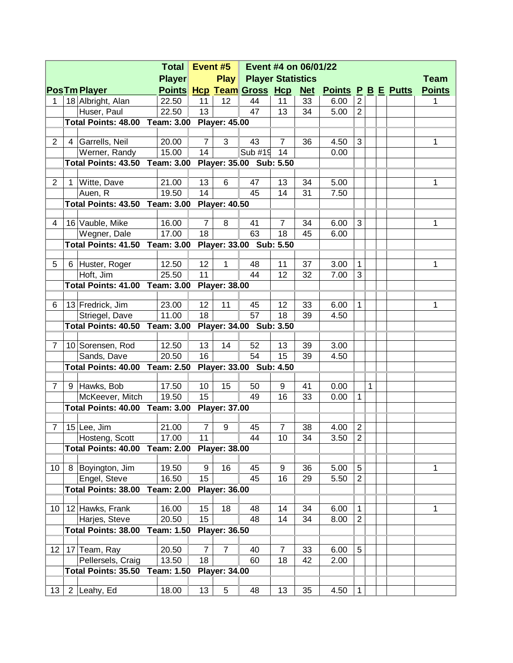|                 |             | Event #5<br><b>Total</b><br>Event #4 on 06/01/22 |                   |                 |                      |                                  |                |            |                           |                |   |             |               |
|-----------------|-------------|--------------------------------------------------|-------------------|-----------------|----------------------|----------------------------------|----------------|------------|---------------------------|----------------|---|-------------|---------------|
| <b>Player</b>   |             |                                                  |                   |                 | Play                 | <b>Player Statistics</b>         |                |            |                           |                |   | <b>Team</b> |               |
|                 |             | <b>PosTm Player</b>                              |                   |                 |                      | <b>Points Hcp Team Gross Hcp</b> |                | <u>Net</u> | <b>Points P B E Putts</b> |                |   |             | <b>Points</b> |
| 1               |             | 18 Albright, Alan                                | 22.50             | 11              | 12                   | 44                               | 11             | 33         | 6.00                      | $\overline{2}$ |   |             | 1             |
|                 |             | Huser, Paul                                      | 22.50             | 13              |                      | 47                               | 13             | 34         | 5.00                      | $\overline{2}$ |   |             |               |
|                 |             | <b>Total Points: 48.00 Team: 3.00</b>            |                   |                 | <b>Player: 45.00</b> |                                  |                |            |                           |                |   |             |               |
|                 |             |                                                  |                   |                 |                      |                                  |                |            |                           |                |   |             |               |
| $\overline{2}$  |             | 4 Garrells, Neil                                 | 20.00             | $\overline{7}$  | 3                    | 43                               | $\overline{7}$ | 36         | 4.50                      | 3              |   |             | 1             |
|                 |             | Werner, Randy                                    | 15.00             | 14              |                      | Sub #19                          | 14             |            | 0.00                      |                |   |             |               |
|                 |             | <b>Total Points: 43.50 Team: 3.00</b>            |                   |                 |                      | Player: 35.00 Sub: 5.50          |                |            |                           |                |   |             |               |
| $\overline{2}$  | $\mathbf 1$ | Witte, Dave                                      | 21.00             | 13              | $6\phantom{1}$       | 47                               | 13             | 34         | 5.00                      |                |   |             | 1             |
|                 |             | Auen, R                                          | 19.50             | 14              |                      | 45                               | 14             | 31         | 7.50                      |                |   |             |               |
|                 |             | <b>Total Points: 43.50 Team: 3.00</b>            |                   |                 | <b>Player: 40.50</b> |                                  |                |            |                           |                |   |             |               |
|                 |             |                                                  |                   |                 |                      |                                  |                |            |                           |                |   |             |               |
| 4               |             | 16 Vauble, Mike                                  | 16.00             | $\overline{7}$  | 8                    | 41                               | $\overline{7}$ | 34         | 6.00                      | 3              |   |             | 1             |
|                 |             | Wegner, Dale                                     | 17.00             | 18              |                      | 63                               | 18             | 45         | 6.00                      |                |   |             |               |
|                 |             | Total Points: 41.50                              | Team: 3.00        |                 |                      | Player: 33.00 Sub: 5.50          |                |            |                           |                |   |             |               |
|                 |             |                                                  |                   |                 |                      |                                  |                |            |                           |                |   |             |               |
| 5               | 6           | Huster, Roger                                    | 12.50             | 12              | 1                    | 48                               | 11             | 37         | 3.00                      | $\mathbf{1}$   |   |             | 1             |
|                 |             | Hoft, Jim                                        | 25.50             | 11              |                      | 44                               | 12             | 32         | 7.00                      | 3              |   |             |               |
|                 |             | <b>Total Points: 41.00</b>                       | Team: 3.00        |                 | <b>Player: 38.00</b> |                                  |                |            |                           |                |   |             |               |
| 6               |             | 13 Fredrick, Jim                                 | 23.00             | 12 <sub>2</sub> | 11                   | 45                               | 12             | 33         | 6.00                      | $\mathbf{1}$   |   |             | 1             |
|                 |             | Striegel, Dave                                   | 11.00             | 18              |                      | 57                               | 18             | 39         | 4.50                      |                |   |             |               |
|                 |             | <b>Total Points: 40.50 Team: 3.00</b>            |                   |                 |                      | Player: 34.00 Sub: 3.50          |                |            |                           |                |   |             |               |
|                 |             |                                                  |                   |                 |                      |                                  |                |            |                           |                |   |             |               |
| $\overline{7}$  |             | 10 Sorensen, Rod                                 | 12.50             | 13              | 14                   | 52                               | 13             | 39         | 3.00                      |                |   |             |               |
|                 |             | Sands, Dave                                      | 20.50             | 16              |                      | 54                               | 15             | 39         | 4.50                      |                |   |             |               |
|                 |             | <b>Total Points: 40.00 Team: 2.50</b>            |                   |                 |                      | Player: 33.00 Sub: 4.50          |                |            |                           |                |   |             |               |
|                 |             |                                                  |                   |                 |                      |                                  |                |            |                           |                |   |             |               |
| $\overline{7}$  | 9           | Hawks, Bob                                       | 17.50             | 10 <sup>1</sup> | 15                   | 50                               | 9              | 41         | 0.00                      |                | 1 |             |               |
|                 |             | McKeever, Mitch                                  | 19.50             | 15              |                      | 49                               | 16             | 33         | 0.00                      | $\mathbf{1}$   |   |             |               |
|                 |             | <b>Total Points: 40.00 Team: 3.00</b>            |                   |                 | <b>Player: 37.00</b> |                                  |                |            |                           |                |   |             |               |
| 7               |             | $15$ Lee, Jim                                    | 21.00             | $\overline{7}$  | 9                    | 45                               | $\overline{7}$ | 38         | 4.00                      | $\overline{2}$ |   |             |               |
|                 |             | Hosteng, Scott                                   | 17.00             | 11              |                      | 44                               | 10             | 34         | 3.50                      | $\overline{2}$ |   |             |               |
|                 |             | <b>Total Points: 40.00</b>                       | <b>Team: 2.00</b> |                 | <b>Player: 38.00</b> |                                  |                |            |                           |                |   |             |               |
|                 |             |                                                  |                   |                 |                      |                                  |                |            |                           |                |   |             |               |
| 10              | 8           | Boyington, Jim                                   | 19.50             | 9               | 16                   | 45                               | 9              | 36         | 5.00                      | 5              |   |             | 1             |
|                 |             | Engel, Steve                                     | 16.50             | 15              |                      | 45                               | 16             | 29         | 5.50                      | $\overline{2}$ |   |             |               |
|                 |             | <b>Total Points: 38.00</b>                       | <b>Team: 2.00</b> |                 | <b>Player: 36.00</b> |                                  |                |            |                           |                |   |             |               |
|                 |             |                                                  |                   |                 |                      |                                  |                |            |                           |                |   |             |               |
| 10 <sup>°</sup> |             | 12 Hawks, Frank                                  | 16.00             | 15              | 18                   | 48                               | 14             | 34         | 6.00                      | 1              |   |             | 1             |
|                 |             | Harjes, Steve                                    | 20.50             | 15              |                      | 48                               | 14             | 34         | 8.00                      | $\overline{2}$ |   |             |               |
|                 |             | <b>Total Points: 38.00</b>                       | <b>Team: 1.50</b> |                 | <b>Player: 36.50</b> |                                  |                |            |                           |                |   |             |               |
| 12              |             | 17 Team, Ray                                     | 20.50             | $\overline{7}$  | $\overline{7}$       | 40                               | $\overline{7}$ | 33         | 6.00                      | 5              |   |             |               |
|                 |             | Pellersels, Craig                                | 13.50             | 18              |                      | 60                               | 18             | 42         | 2.00                      |                |   |             |               |
|                 |             | Total Points: 35.50                              | Team: 1.50        |                 | <b>Player: 34.00</b> |                                  |                |            |                           |                |   |             |               |
|                 |             |                                                  |                   |                 |                      |                                  |                |            |                           |                |   |             |               |
| 13 <sup>°</sup> |             | 2 Leahy, Ed                                      | 18.00             | 13              | 5                    | 48                               | 13             | 35         | 4.50                      | $\mathbf{1}$   |   |             |               |